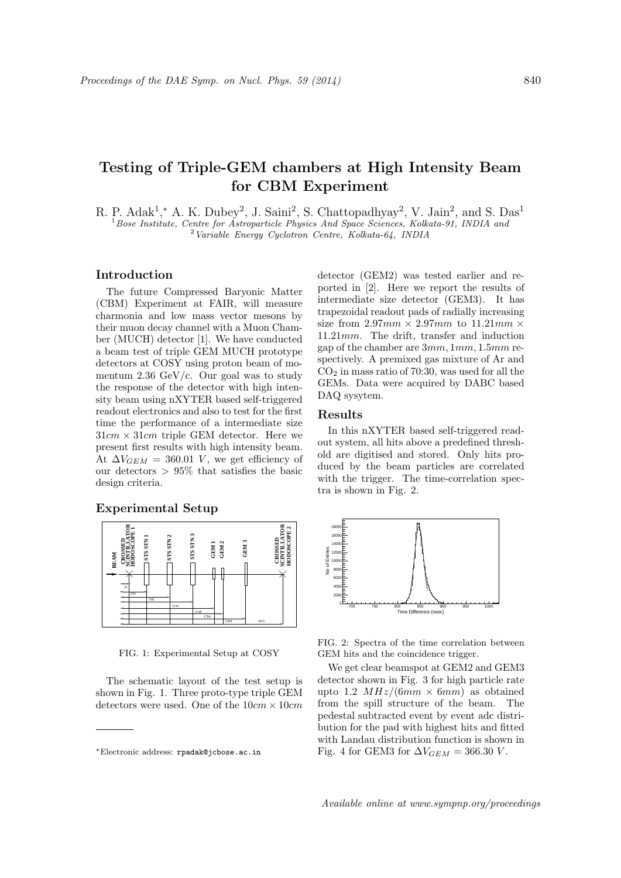# **Testing of Triple-GEM chambers at High Intensity Beam for CBM Experiment**

R. P. Adak<sup>1</sup>,<sup>\*</sup> A. K. Dubey<sup>2</sup>, J. Saini<sup>2</sup>, S. Chattopadhyay<sup>2</sup>, V. Jain<sup>2</sup>, and S. Das<sup>1</sup> <sup>1</sup>*Bose Institute, Centre for Astroparticle Physics And Space Sciences, Kolkata-91, INDIA and* <sup>2</sup>*Variable Energy Cyclotron Centre, Kolkata-64, INDIA*

#### **Introduction**

The future Compressed Baryonic Matter (CBM) Experiment at FAIR, will measure charmonia and low mass vector mesons by their muon decay channel with a Muon Chamber (MUCH) detector [1]. We have conducted a beam test of triple GEM MUCH prototype detectors at COSY using proton beam of momentum 2.36 GeV/c. Our goal was to study the response of the detector with high intensity beam using nXYTER based self-triggered readout electronics and also to test for the first time the performance of a intermediate size 31*cm ×* 31*cm* triple GEM detector. Here we present first results with high intensity beam. At  $\Delta V_{GEM} = 360.01$  *V*, we get efficiency of our detectors *>* 95% that satisfies the basic design criteria.

### **Experimental Setup**



FIG. 1: Experimental Setup at COSY

The schematic layout of the test setup is shown in Fig. 1. Three proto-type triple GEM detectors were used. One of the 10*cm ×* 10*cm*

detector (GEM2) was tested earlier and reported in [2]. Here we report the results of intermediate size detector (GEM3). It has trapezoidal readout pads of radially increasing size from 2*.*97*mm ×* 2*.*97*mm* to 11*.*21*mm ×* 11*.*21*mm*. The drift, transfer and induction gap of the chamber are 3*mm,* 1*mm,* 1*.*5*mm* respectively. A premixed gas mixture of Ar and  $CO<sub>2</sub>$  in mass ratio of 70:30, was used for all the GEMs. Data were acquired by DABC based DAQ sysytem.

## **Results**

In this nXYTER based self-triggered readout system, all hits above a predefined threshold are digitised and stored. Only hits produced by the beam particles are correlated with the trigger. The time-correlation spectra is shown in Fig. 2.



FIG. 2: Spectra of the time correlation between GEM hits and the coincidence trigger.

We get clear beamspot at GEM2 and GEM3 detector shown in Fig. 3 for high particle rate upto 1.2  $MHz/(6mm \times 6mm)$  as obtained from the spill structure of the beam. The pedestal subtracted event by event adc distribution for the pad with highest hits and fitted with Landau distribution function is shown in Fig. 4 for GEM3 for  $\Delta V_{GEM} = 366.30 V$ .

Available online at www.sympnp.org/proceedings

*<sup>∗</sup>*Electronic address: rpadak@jcbose.ac.in